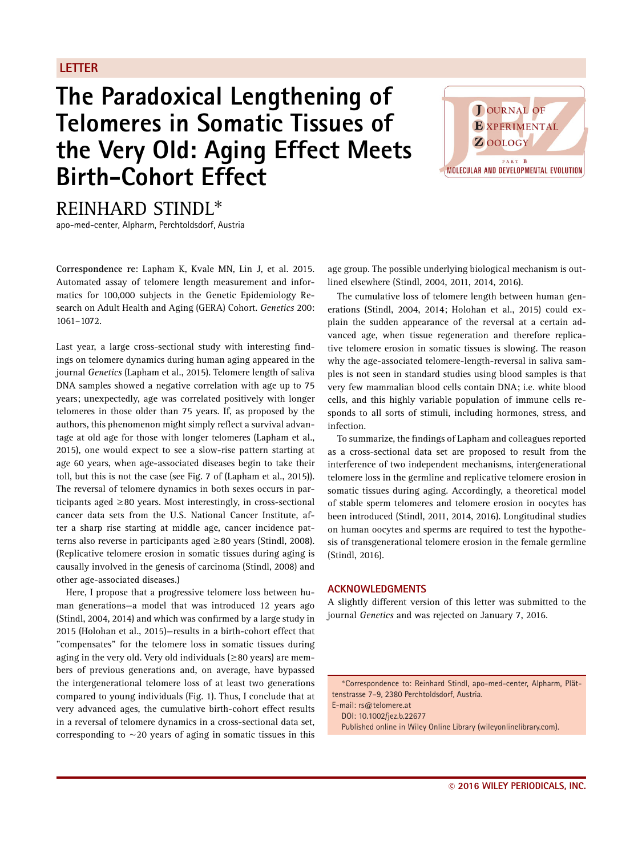## **LETTER**

## **The Paradoxical Lengthening of Telomeres in Somatic Tissues of the Very Old: Aging Effect Meets Birth-Cohort Effect**



REINHARD STINDL∗

apo-med-center, Alpharm, Perchtoldsdorf, Austria

**Correspondence re**: Lapham K, Kvale MN, Lin J, et al. 2015. Automated assay of telomere length measurement and informatics for 100,000 subjects in the Genetic Epidemiology Research on Adult Health and Aging (GERA) Cohort. *Genetics* 200: 1061–1072.

Last year, a large cross-sectional study with interesting findings on telomere dynamics during human aging appeared in the journal *Genetics* (Lapham et al., 2015). Telomere length of saliva DNA samples showed a negative correlation with age up to 75 years; unexpectedly, age was correlated positively with longer telomeres in those older than 75 years. If, as proposed by the authors, this phenomenon might simply reflect a survival advantage at old age for those with longer telomeres (Lapham et al., 2015), one would expect to see a slow-rise pattern starting at age 60 years, when age-associated diseases begin to take their toll, but this is not the case (see Fig. 7 of (Lapham et al., 2015)). The reversal of telomere dynamics in both sexes occurs in participants aged  $\geq$ 80 years. Most interestingly, in cross-sectional cancer data sets from the U.S. National Cancer Institute, after a sharp rise starting at middle age, cancer incidence patterns also reverse in participants aged ≥80 years (Stindl, 2008). (Replicative telomere erosion in somatic tissues during aging is causally involved in the genesis of carcinoma (Stindl, 2008) and other age-associated diseases.)

Here, I propose that a progressive telomere loss between human generations—a model that was introduced 12 years ago (Stindl, 2004, 2014) and which was confirmed by a large study in 2015 (Holohan et al., 2015)—results in a birth-cohort effect that "compensates" for the telomere loss in somatic tissues during aging in the very old. Very old individuals ( $\geq$ 80 years) are members of previous generations and, on average, have bypassed the intergenerational telomere loss of at least two generations compared to young individuals (Fig. 1). Thus, I conclude that at very advanced ages, the cumulative birth-cohort effect results in a reversal of telomere dynamics in a cross-sectional data set, corresponding to  $\sim$  20 years of aging in somatic tissues in this age group. The possible underlying biological mechanism is outlined elsewhere (Stindl, 2004, 2011, 2014, 2016).

The cumulative loss of telomere length between human generations (Stindl, 2004, 2014; Holohan et al., 2015) could explain the sudden appearance of the reversal at a certain advanced age, when tissue regeneration and therefore replicative telomere erosion in somatic tissues is slowing. The reason why the age-associated telomere-length-reversal in saliva samples is not seen in standard studies using blood samples is that very few mammalian blood cells contain DNA; i.e. white blood cells, and this highly variable population of immune cells responds to all sorts of stimuli, including hormones, stress, and infection.

To summarize, the findings of Lapham and colleagues reported as a cross-sectional data set are proposed to result from the interference of two independent mechanisms, intergenerational telomere loss in the germline and replicative telomere erosion in somatic tissues during aging. Accordingly, a theoretical model of stable sperm telomeres and telomere erosion in oocytes has been introduced (Stindl, 2011, 2014, 2016). Longitudinal studies on human oocytes and sperms are required to test the hypothesis of transgenerational telomere erosion in the female germline (Stindl, 2016).

## **ACKNOWLEDGMENTS**

A slightly different version of this letter was submitted to the journal *Genetics* and was rejected on January 7, 2016.

∗Correspondence to: Reinhard Stindl, apo-med-center, Alpharm, Plättenstrasse 7–9, 2380 Perchtoldsdorf, Austria.

E-mail: rs@telomere.at DOI: 10.1002/jez.b.22677

Published online in Wiley Online Library (wileyonlinelibrary.com).